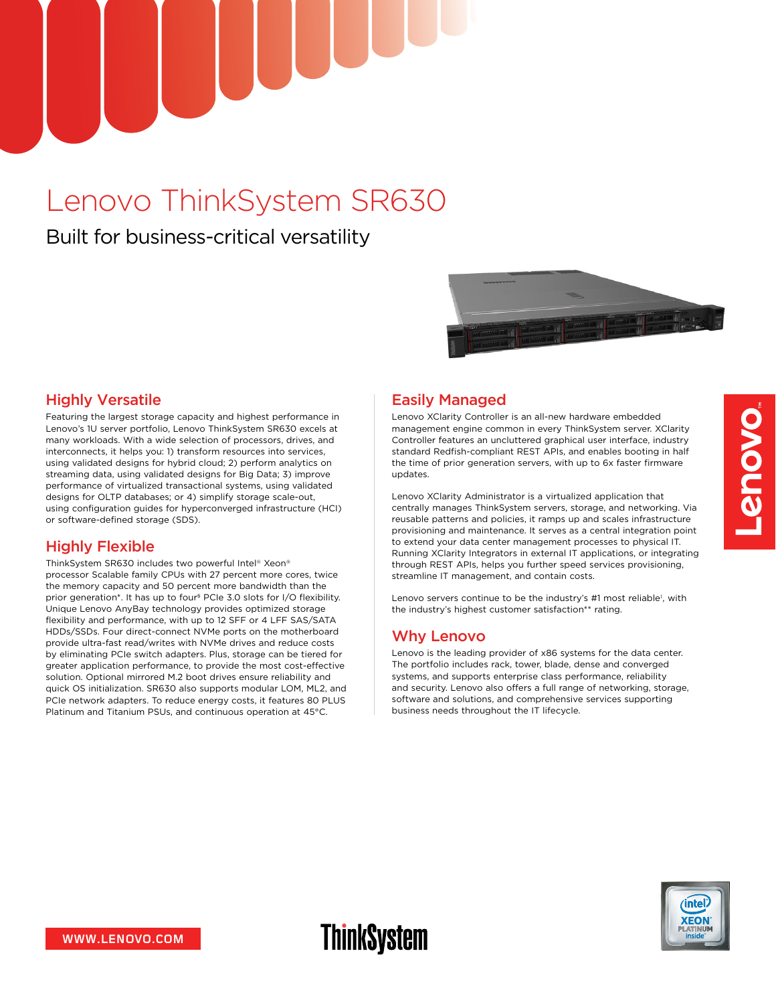# Lenovo ThinkSystem SR630

## Built for business-critical versatility



#### Highly Versatile

Featuring the largest storage capacity and highest performance in Lenovo's 1U server portfolio, Lenovo ThinkSystem SR630 excels at many workloads. With a wide selection of processors, drives, and interconnects, it helps you: 1) transform resources into services, using validated designs for hybrid cloud; 2) perform analytics on streaming data, using validated designs for Big Data; 3) improve performance of virtualized transactional systems, using validated designs for OLTP databases; or 4) simplify storage scale-out, using configuration guides for hyperconverged infrastructure (HCI) or software-defined storage (SDS).

#### Highly Flexible

ThinkSystem SR630 includes two powerful Intel® Xeon® processor Scalable family CPUs with 27 percent more cores, twice the memory capacity and 50 percent more bandwidth than the prior generation\*. It has up to four§ PCIe 3.0 slots for I/O flexibility. Unique Lenovo AnyBay technology provides optimized storage flexibility and performance, with up to 12 SFF or 4 LFF SAS/SATA HDDs/SSDs. Four direct-connect NVMe ports on the motherboard provide ultra-fast read/writes with NVMe drives and reduce costs by eliminating PCIe switch adapters. Plus, storage can be tiered for greater application performance, to provide the most cost-effective solution. Optional mirrored M.2 boot drives ensure reliability and quick OS initialization. SR630 also supports modular LOM, ML2, and PCIe network adapters. To reduce energy costs, it features 80 PLUS Platinum and Titanium PSUs, and continuous operation at 45°C.

#### Easily Managed

Lenovo XClarity Controller is an all-new hardware embedded management engine common in every ThinkSystem server. XClarity Controller features an uncluttered graphical user interface, industry standard Redfish-compliant REST APIs, and enables booting in half the time of prior generation servers, with up to 6x faster firmware updates.

Lenovo XClarity Administrator is a virtualized application that centrally manages ThinkSystem servers, storage, and networking. Via reusable patterns and policies, it ramps up and scales infrastructure provisioning and maintenance. It serves as a central integration point to extend your data center management processes to physical IT. Running XClarity Integrators in external IT applications, or integrating through REST APIs, helps you further speed services provisioning, streamline IT management, and contain costs.

Lenovo servers continue to be the industry's #1 most reliable<sup>#</sup>, with the industry's highest customer satisfaction\*\* rating.

#### Why Lenovo

Lenovo is the leading provider of x86 systems for the data center. The portfolio includes rack, tower, blade, dense and converged systems, and supports enterprise class performance, reliability and security. Lenovo also offers a full range of networking, storage, software and solutions, and comprehensive services supporting business needs throughout the IT lifecycle.